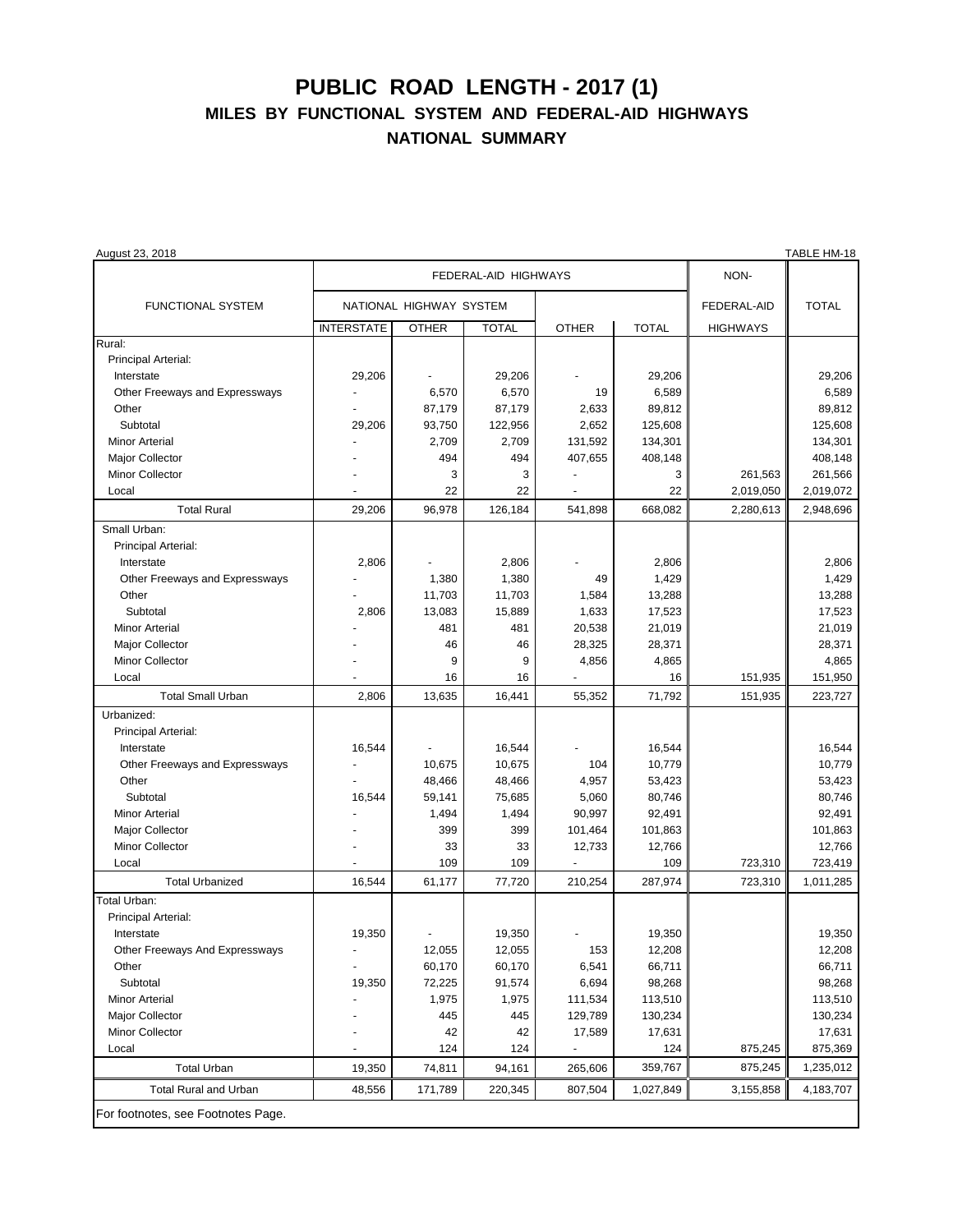## **PUBLIC ROAD LENGTH - 2017 (1) MILES BY FUNCTIONAL SYSTEM AND FEDERAL-AID HIGHWAYS NATIONAL SUMMARY**

| August 23, 2018                    |                         |              |              |                |              |                 | I ABLE HM-18 |
|------------------------------------|-------------------------|--------------|--------------|----------------|--------------|-----------------|--------------|
|                                    | FEDERAL-AID HIGHWAYS    |              |              |                |              | NON-            |              |
| <b>FUNCTIONAL SYSTEM</b>           | NATIONAL HIGHWAY SYSTEM |              |              |                |              | FEDERAL-AID     | <b>TOTAL</b> |
|                                    | <b>INTERSTATE</b>       | <b>OTHER</b> | <b>TOTAL</b> | <b>OTHER</b>   | <b>TOTAL</b> | <b>HIGHWAYS</b> |              |
| Rural:                             |                         |              |              |                |              |                 |              |
| Principal Arterial:                |                         |              |              |                |              |                 |              |
| Interstate                         | 29,206                  |              | 29,206       |                | 29,206       |                 | 29,206       |
| Other Freeways and Expressways     |                         | 6,570        | 6,570        | 19             | 6,589        |                 | 6,589        |
| Other                              |                         | 87,179       | 87,179       | 2,633          | 89,812       |                 | 89,812       |
| Subtotal                           | 29,206                  | 93,750       | 122,956      | 2,652          | 125,608      |                 | 125,608      |
| <b>Minor Arterial</b>              |                         | 2,709        | 2,709        | 131,592        | 134,301      |                 | 134,301      |
| Major Collector                    |                         | 494          | 494          | 407,655        | 408,148      |                 | 408,148      |
| Minor Collector                    |                         | 3            | 3            |                | 3            | 261,563         | 261,566      |
| Local                              |                         | 22           | 22           |                | 22           | 2,019,050       | 2,019,072    |
|                                    |                         |              |              |                |              |                 |              |
| <b>Total Rural</b>                 | 29,206                  | 96,978       | 126,184      | 541,898        | 668,082      | 2,280,613       | 2,948,696    |
| Small Urban:                       |                         |              |              |                |              |                 |              |
| Principal Arterial:                |                         |              |              |                |              |                 |              |
| Interstate                         | 2,806                   |              | 2,806        |                | 2,806        |                 | 2,806        |
| Other Freeways and Expressways     |                         | 1,380        | 1,380        | 49             | 1,429        |                 | 1,429        |
| Other                              |                         | 11,703       | 11,703       | 1,584          | 13,288       |                 | 13,288       |
| Subtotal                           | 2,806                   | 13,083       | 15,889       | 1,633          | 17,523       |                 | 17,523       |
| <b>Minor Arterial</b>              |                         | 481          | 481          | 20,538         | 21,019       |                 | 21,019       |
| Major Collector                    |                         | 46           | 46           | 28,325         | 28,371       |                 | 28,371       |
| <b>Minor Collector</b>             |                         | 9            | 9            | 4,856          | 4,865        |                 | 4,865        |
| Local                              |                         | 16           | 16           |                | 16           | 151,935         | 151,950      |
| <b>Total Small Urban</b>           | 2,806                   | 13,635       | 16,441       | 55,352         | 71,792       | 151,935         | 223,727      |
| Urbanized:                         |                         |              |              |                |              |                 |              |
| Principal Arterial:                |                         |              |              |                |              |                 |              |
| Interstate                         | 16,544                  |              | 16,544       |                | 16,544       |                 | 16,544       |
| Other Freeways and Expressways     |                         | 10,675       | 10,675       | 104            | 10,779       |                 | 10,779       |
| Other                              |                         | 48,466       | 48,466       | 4,957          | 53,423       |                 | 53,423       |
| Subtotal                           | 16,544                  | 59,141       | 75,685       | 5,060          | 80,746       |                 | 80,746       |
| Minor Arterial                     |                         | 1,494        | 1,494        | 90,997         | 92,491       |                 | 92,491       |
| Major Collector                    |                         | 399          | 399          | 101,464        | 101,863      |                 | 101,863      |
| Minor Collector                    |                         | 33           | 33           | 12,733         | 12,766       |                 | 12,766       |
| Local                              |                         | 109          | 109          |                | 109          | 723,310         | 723,419      |
| <b>Total Urbanized</b>             | 16,544                  | 61,177       | 77,720       | 210,254        | 287,974      | 723,310         | 1,011,285    |
| Total Urban:                       |                         |              |              |                |              |                 |              |
| Principal Arterial:                |                         |              |              |                |              |                 |              |
| Interstate                         | 19,350                  |              | 19,350       |                | 19,350       |                 | 19,350       |
| Other Freeways And Expressways     |                         | 12,055       | 12,055       | 153            | 12,208       |                 | 12,208       |
| Other                              |                         | 60,170       | 60,170       | 6,541          | 66,711       |                 | 66,711       |
| Subtotal                           | 19,350                  | 72,225       | 91,574       | 6,694          | 98,268       |                 | 98,268       |
| <b>Minor Arterial</b>              |                         | 1,975        | 1,975        | 111,534        | 113,510      |                 | 113,510      |
| Major Collector                    |                         | 445          | 445          | 129,789        | 130,234      |                 | 130,234      |
| Minor Collector                    |                         | 42           | 42           | 17,589         | 17,631       |                 | 17,631       |
| Local                              |                         | 124          | 124          | $\blacksquare$ | 124          | 875,245         | 875,369      |
| <b>Total Urban</b>                 | 19,350                  | 74,811       | 94,161       | 265,606        | 359,767      | 875,245         | 1,235,012    |
| <b>Total Rural and Urban</b>       | 48,556                  | 171,789      | 220,345      | 807,504        | 1,027,849    | 3,155,858       | 4,183,707    |
| For footnotes, see Footnotes Page. |                         |              |              |                |              |                 |              |